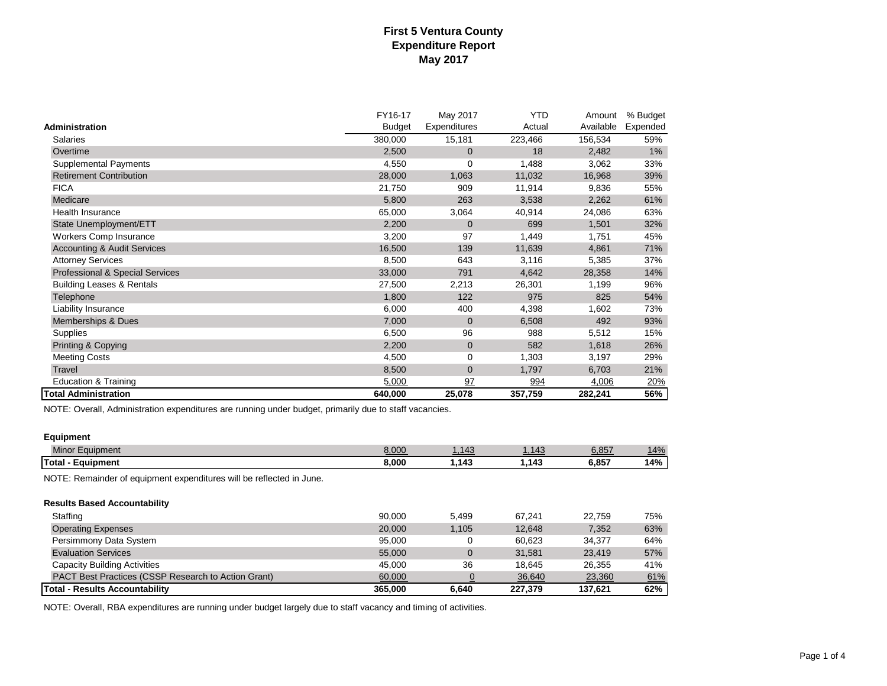|                                        | FY16-17       | May 2017       | <b>YTD</b> | Amount    | % Budget   |
|----------------------------------------|---------------|----------------|------------|-----------|------------|
| Administration                         | <b>Budget</b> | Expenditures   | Actual     | Available | Expended   |
| <b>Salaries</b>                        | 380,000       | 15,181         | 223,466    | 156,534   | 59%        |
| Overtime                               | 2,500         | $\overline{0}$ | 18         | 2,482     | $1\%$      |
| <b>Supplemental Payments</b>           | 4,550         | $\mathbf 0$    | 1,488      | 3,062     | 33%        |
| <b>Retirement Contribution</b>         | 28,000        | 1,063          | 11,032     | 16,968    | 39%        |
| <b>FICA</b>                            | 21,750        | 909            | 11,914     | 9,836     | 55%        |
| Medicare                               | 5,800         | 263            | 3,538      | 2,262     | 61%        |
| Health Insurance                       | 65,000        | 3,064          | 40,914     | 24,086    | 63%        |
| State Unemployment/ETT                 | 2,200         | $\mathbf 0$    | 699        | 1,501     | 32%        |
| <b>Workers Comp Insurance</b>          | 3,200         | 97             | 1,449      | 1,751     | 45%        |
| <b>Accounting &amp; Audit Services</b> | 16,500        | 139            | 11,639     | 4,861     | 71%        |
| <b>Attorney Services</b>               | 8,500         | 643            | 3,116      | 5,385     | 37%        |
| Professional & Special Services        | 33,000        | 791            | 4,642      | 28,358    | 14%        |
| <b>Building Leases &amp; Rentals</b>   | 27,500        | 2,213          | 26,301     | 1,199     | 96%        |
| Telephone                              | 1,800         | 122            | 975        | 825       | 54%        |
| Liability Insurance                    | 6,000         | 400            | 4,398      | 1,602     | 73%        |
| Memberships & Dues                     | 7,000         | $\Omega$       | 6,508      | 492       | 93%        |
| Supplies                               | 6,500         | 96             | 988        | 5,512     | 15%        |
| <b>Printing &amp; Copying</b>          | 2,200         | $\mathbf{0}$   | 582        | 1,618     | 26%        |
| <b>Meeting Costs</b>                   | 4,500         | 0              | 1,303      | 3,197     | 29%        |
| Travel                                 | 8,500         | $\overline{0}$ | 1,797      | 6,703     | 21%        |
| <b>Education &amp; Training</b>        | 5,000         | 97             | 994        | 4,006     | <u>20%</u> |
| <b>Total Administration</b>            | 640,000       | 25,078         | 357,759    | 282,241   | 56%        |

NOTE: Overall, Administration expenditures are running under budget, primarily due to staff vacancies.

### **Equipment**

| <b>Minor Equipment</b>                                               | 8,000 | 143<br>т. | $14^c$ | 857,ئ | 14% |
|----------------------------------------------------------------------|-------|-----------|--------|-------|-----|
| <b>Total</b><br>Equipment                                            | 8.000 | 143       | .143   | 6.857 | 14% |
| NOTE: Remainder of equipment expenditures will be reflected in June. |       |           |        |       |     |

| <b>Results Based Accountability</b>                 |         |       |         |         |     |
|-----------------------------------------------------|---------|-------|---------|---------|-----|
| Staffing                                            | 90.000  | 5.499 | 67.241  | 22.759  | 75% |
| <b>Operating Expenses</b>                           | 20,000  | 1.105 | 12.648  | 7.352   | 63% |
| Persimmony Data System                              | 95.000  |       | 60.623  | 34.377  | 64% |
| <b>Evaluation Services</b>                          | 55,000  |       | 31.581  | 23.419  | 57% |
| Capacity Building Activities                        | 45.000  | 36    | 18.645  | 26.355  | 41% |
| PACT Best Practices (CSSP Research to Action Grant) | 60,000  |       | 36,640  | 23,360  | 61% |
| <b>Total - Results Accountability</b>               | 365.000 | 6.640 | 227.379 | 137.621 | 62% |

NOTE: Overall, RBA expenditures are running under budget largely due to staff vacancy and timing of activities.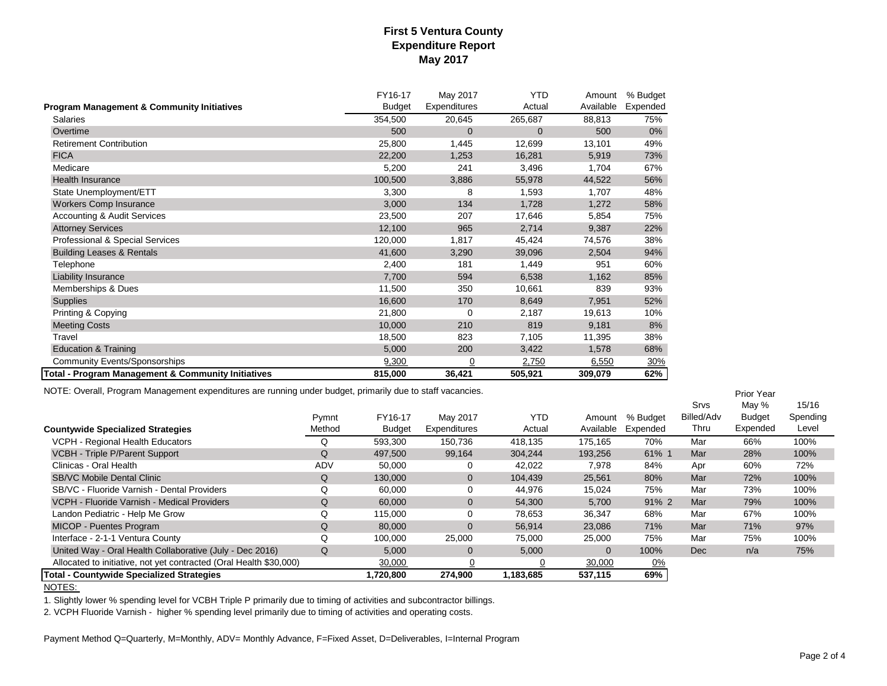|                                                       | FY16-17       | May 2017     | YTD         | Amount    | % Budget |
|-------------------------------------------------------|---------------|--------------|-------------|-----------|----------|
| <b>Program Management &amp; Community Initiatives</b> | <b>Budget</b> | Expenditures | Actual      | Available | Expended |
| Salaries                                              | 354,500       | 20,645       | 265,687     | 88,813    | 75%      |
| Overtime                                              | 500           | $\mathbf 0$  | $\mathbf 0$ | 500       | $0\%$    |
| <b>Retirement Contribution</b>                        | 25,800        | 1,445        | 12,699      | 13,101    | 49%      |
| <b>FICA</b>                                           | 22,200        | 1,253        | 16,281      | 5,919     | 73%      |
| Medicare                                              | 5,200         | 241          | 3,496       | 1,704     | 67%      |
| <b>Health Insurance</b>                               | 100,500       | 3,886        | 55,978      | 44,522    | 56%      |
| State Unemployment/ETT                                | 3,300         | 8            | 1,593       | 1.707     | 48%      |
| <b>Workers Comp Insurance</b>                         | 3,000         | 134          | 1,728       | 1,272     | 58%      |
| <b>Accounting &amp; Audit Services</b>                | 23,500        | 207          | 17,646      | 5,854     | 75%      |
| <b>Attorney Services</b>                              | 12,100        | 965          | 2,714       | 9,387     | 22%      |
| Professional & Special Services                       | 120,000       | 1,817        | 45,424      | 74,576    | 38%      |
| <b>Building Leases &amp; Rentals</b>                  | 41,600        | 3,290        | 39,096      | 2,504     | 94%      |
| Telephone                                             | 2,400         | 181          | 1,449       | 951       | 60%      |
| Liability Insurance                                   | 7,700         | 594          | 6,538       | 1,162     | 85%      |
| Memberships & Dues                                    | 11,500        | 350          | 10,661      | 839       | 93%      |
| Supplies                                              | 16,600        | 170          | 8,649       | 7,951     | 52%      |
| Printing & Copying                                    | 21,800        | 0            | 2,187       | 19,613    | 10%      |
| <b>Meeting Costs</b>                                  | 10,000        | 210          | 819         | 9,181     | 8%       |
| Travel                                                | 18,500        | 823          | 7,105       | 11,395    | 38%      |
| <b>Education &amp; Training</b>                       | 5,000         | 200          | 3,422       | 1,578     | 68%      |
| <b>Community Events/Sponsorships</b>                  | 9,300         | <u>0</u>     | 2,750       | 6,550     | 30%      |
| Total - Program Management & Community Initiatives    | 815,000       | 36,421       | 505,921     | 309,079   | 62%      |

NOTE: Overall, Program Management expenditures are running under budget, primarily due to staff vacancies.

|                                                                    |        |               |                |            |           |           | <b>Srvs</b> | May %    | 15/16    |
|--------------------------------------------------------------------|--------|---------------|----------------|------------|-----------|-----------|-------------|----------|----------|
|                                                                    | Pymnt  | FY16-17       | May 2017       | <b>YTD</b> | Amount    | % Budget  | Billed/Adv  | Budget   | Spending |
| <b>Countywide Specialized Strategies</b>                           | Method | <b>Budget</b> | Expenditures   | Actual     | Available | Expended  | Thru        | Expended | Level    |
| VCPH - Regional Health Educators                                   | Q      | 593,300       | 150,736        | 418,135    | 175.165   | 70%       | Mar         | 66%      | 100%     |
| VCBH - Triple P/Parent Support                                     | Q      | 497,500       | 99,164         | 304,244    | 193,256   | 61% 1     | Mar         | 28%      | 100%     |
| Clinicas - Oral Health                                             | ADV    | 50,000        | 0              | 42,022     | 7,978     | 84%       | Apr         | 60%      | 72%      |
| <b>SB/VC Mobile Dental Clinic</b>                                  | Q      | 130,000       | $\overline{0}$ | 104,439    | 25,561    | 80%       | Mar         | 72%      | 100%     |
| SB/VC - Fluoride Varnish - Dental Providers                        | Q      | 60,000        | 0              | 44,976     | 15,024    | 75%       | Mar         | 73%      | 100%     |
| VCPH - Fluoride Varnish - Medical Providers                        | Q      | 60,000        | $\mathbf{0}$   | 54,300     | 5,700     | 91% 2     | Mar         | 79%      | 100%     |
| Landon Pediatric - Help Me Grow                                    | Q      | 115,000       | 0              | 78,653     | 36,347    | 68%       | Mar         | 67%      | 100%     |
| MICOP - Puentes Program                                            | Q      | 80,000        | $\mathbf{0}$   | 56,914     | 23,086    | 71%       | Mar         | 71%      | 97%      |
| Interface - 2-1-1 Ventura County                                   | Q      | 100,000       | 25,000         | 75,000     | 25,000    | 75%       | Mar         | 75%      | 100%     |
| United Way - Oral Health Collaborative (July - Dec 2016)           | Q      | 5,000         | $\overline{0}$ | 5,000      | $\Omega$  | 100%      | Dec         | n/a      | 75%      |
| Allocated to initiative, not yet contracted (Oral Health \$30,000) |        | 30,000        |                |            | 30,000    | <u>0%</u> |             |          |          |
| <b>Total - Countywide Specialized Strategies</b>                   |        | 1,720,800     | 274,900        | 1,183,685  | 537,115   | 69%       |             |          |          |

NOTES:

1. Slightly lower % spending level for VCBH Triple P primarily due to timing of activities and subcontractor billings.

2. VCPH Fluoride Varnish - higher % spending level primarily due to timing of activities and operating costs.

Payment Method Q=Quarterly, M=Monthly, ADV= Monthly Advance, F=Fixed Asset, D=Deliverables, I=Internal Program

Prior Year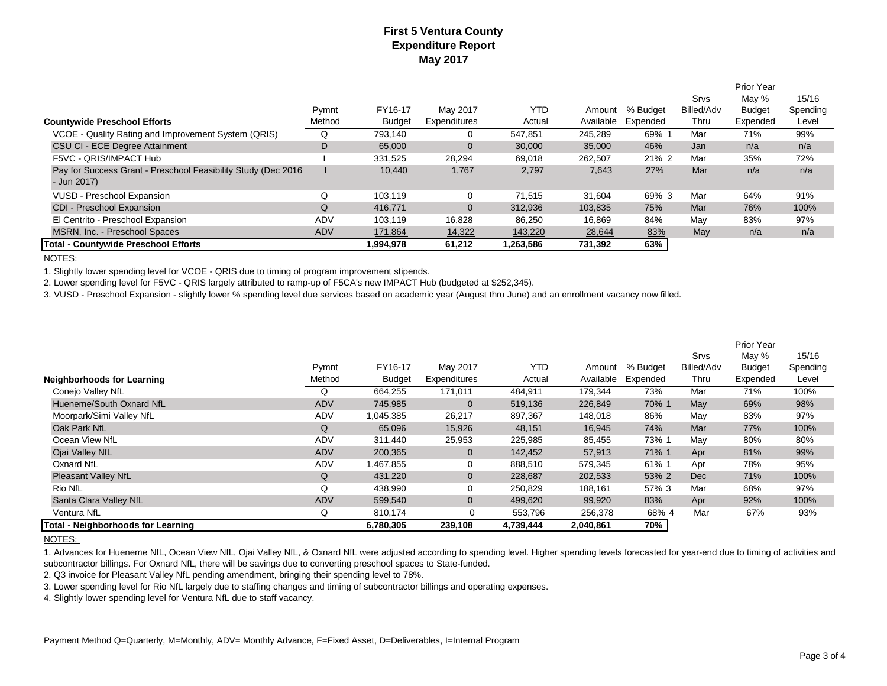|                                                                               |            |               |              |            |           |          |            | <b>Prior Year</b> |          |
|-------------------------------------------------------------------------------|------------|---------------|--------------|------------|-----------|----------|------------|-------------------|----------|
|                                                                               |            |               |              |            |           |          | Srvs       | May %             | 15/16    |
|                                                                               | Pymnt      | FY16-17       | May 2017     | <b>YTD</b> | Amount    | % Budget | Billed/Adv | <b>Budget</b>     | Spending |
| <b>Countywide Preschool Efforts</b>                                           | Method     | <b>Budget</b> | Expenditures | Actual     | Available | Expended | Thru       | Expended          | Level    |
| VCOE - Quality Rating and Improvement System (QRIS)                           | Q          | 793,140       | 0            | 547,851    | 245,289   | 69% 1    | Mar        | 71%               | 99%      |
| CSU CI - ECE Degree Attainment                                                | D          | 65,000        | $\mathbf{0}$ | 30,000     | 35,000    | 46%      | Jan        | n/a               | n/a      |
| F5VC - ORIS/IMPACT Hub                                                        |            | 331,525       | 28,294       | 69,018     | 262,507   | 21% 2    | Mar        | 35%               | 72%      |
| Pay for Success Grant - Preschool Feasibility Study (Dec 2016)<br>- Jun 2017) |            | 10,440        | 1,767        | 2,797      | 7,643     | 27%      | Mar        | n/a               | n/a      |
| VUSD - Preschool Expansion                                                    | Q          | 103.119       | 0            | 71.515     | 31.604    | 69% 3    | Mar        | 64%               | 91%      |
| CDI - Preschool Expansion                                                     | Q          | 416,771       | $\mathbf{0}$ | 312,936    | 103,835   | 75%      | Mar        | 76%               | 100%     |
| El Centrito - Preschool Expansion                                             | ADV        | 103,119       | 16,828       | 86,250     | 16,869    | 84%      | May        | 83%               | 97%      |
| MSRN, Inc. - Preschool Spaces                                                 | <b>ADV</b> | 171,864       | 14,322       | 143,220    | 28,644    | 83%      | May        | n/a               | n/a      |
| <b>Total - Countywide Preschool Efforts</b>                                   |            | 1.994.978     | 61.212       | 1,263,586  | 731.392   | 63%      |            |                   |          |

NOTES:

1. Slightly lower spending level for VCOE - QRIS due to timing of program improvement stipends.

2. Lower spending level for F5VC - QRIS largely attributed to ramp-up of F5CA's new IMPACT Hub (budgeted at \$252,345).

3. VUSD - Preschool Expansion - slightly lower % spending level due services based on academic year (August thru June) and an enrollment vacancy now filled.

|                                    |            |               |                |            |           |          |            | <b>Prior Year</b> |          |
|------------------------------------|------------|---------------|----------------|------------|-----------|----------|------------|-------------------|----------|
|                                    |            |               |                |            |           |          | Srvs       | May %             | 15/16    |
|                                    | Pymnt      | FY16-17       | May 2017       | <b>YTD</b> | Amount    | % Budget | Billed/Adv | <b>Budget</b>     | Spending |
| Neighborhoods for Learning         | Method     | <b>Budget</b> | Expenditures   | Actual     | Available | Expended | Thru       | Expended          | Level    |
| Conejo Valley NfL                  | Q          | 664.255       | 171,011        | 484,911    | 179,344   | 73%      | Mar        | 71%               | 100%     |
| Hueneme/South Oxnard NfL           | <b>ADV</b> | 745,985       | $\mathbf 0$    | 519,136    | 226,849   | 70% 1    | May        | 69%               | 98%      |
| Moorpark/Simi Valley NfL           | ADV        | 1,045,385     | 26,217         | 897,367    | 148.018   | 86%      | May        | 83%               | 97%      |
| Oak Park NfL                       | Q          | 65,096        | 15,926         | 48,151     | 16,945    | 74%      | Mar        | 77%               | 100%     |
| Ocean View NfL                     | ADV        | 311,440       | 25,953         | 225,985    | 85,455    | 73% 1    | May        | 80%               | 80%      |
| Ojai Valley NfL                    | <b>ADV</b> | 200,365       | $\mathbf 0$    | 142,452    | 57,913    | 71% 1    | Apr        | 81%               | 99%      |
| <b>Oxnard NfL</b>                  | ADV        | .467,855      | 0              | 888,510    | 579,345   | 61% 1    | Apr        | 78%               | 95%      |
| <b>Pleasant Valley NfL</b>         | Q          | 431,220       | $\mathbf 0$    | 228,687    | 202,533   | 53% 2    | <b>Dec</b> | 71%               | 100%     |
| <b>Rio NfL</b>                     | Q          | 438.990       | 0              | 250,829    | 188,161   | 57% 3    | Mar        | 68%               | 97%      |
| Santa Clara Valley NfL             | <b>ADV</b> | 599,540       | $\mathbf{0}$   | 499,620    | 99,920    | 83%      | Apr        | 92%               | 100%     |
| Ventura NfL                        | Q          | 810,174       | $\overline{0}$ | 553,796    | 256,378   | 68% 4    | Mar        | 67%               | 93%      |
| Total - Neighborhoods for Learning |            | 6,780,305     | 239,108        | 4,739,444  | 2,040,861 | 70%      |            |                   |          |

#### NOTES:

1. Advances for Hueneme NfL, Ocean View NfL, Ojai Valley NfL, & Oxnard NfL were adjusted according to spending level. Higher spending levels forecasted for year-end due to timing of activities and subcontractor billings. For Oxnard NfL, there will be savings due to converting preschool spaces to State-funded.

2. Q3 invoice for Pleasant Valley NfL pending amendment, bringing their spending level to 78%.

3. Lower spending level for Rio NfL largely due to staffing changes and timing of subcontractor billings and operating expenses.

4. Slightly lower spending level for Ventura NfL due to staff vacancy.